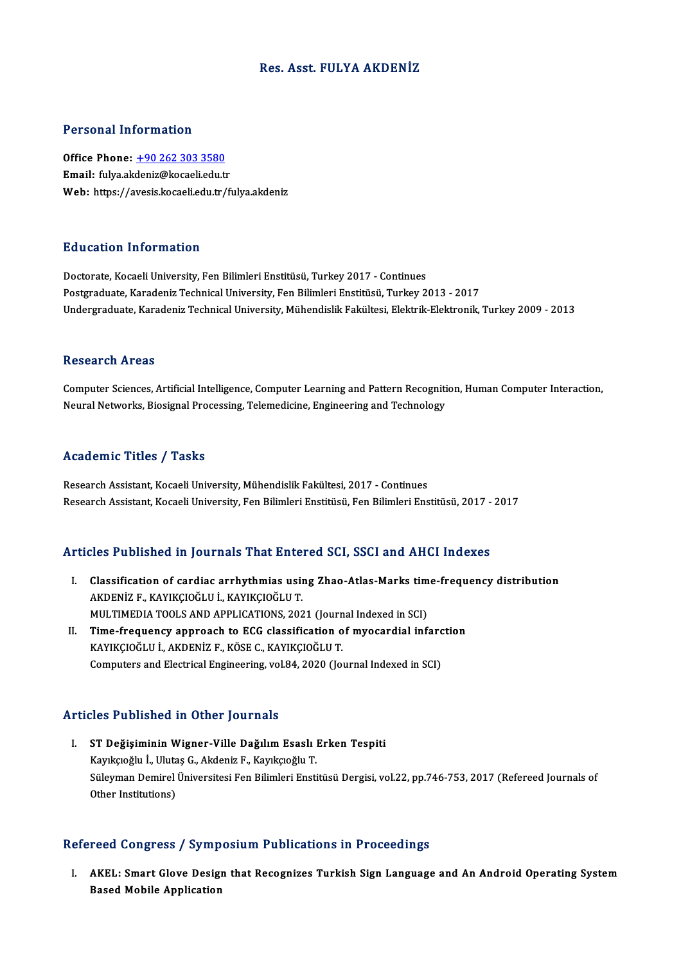# Res. Asst. FULYA AKDENİZ

## Personal Information

Office Phone: +90 262 303 3580 Email: fulya.ak[deniz@kocaeli.edu.t](tel:+90 262 303 3580)r Web: https://avesis.kocaeli.edu.tr/fulya.akdeniz

#### Education Information

Doctorate, Kocaeli University, Fen Bilimleri Enstitüsü, Turkey 2017 - Continues Postgraduate, Karadeniz Technical University, Fen Bilimleri Enstitüsü, Turkey 2013 - 2017 Undergraduate, Karadeniz Technical University, Mühendislik Fakültesi, Elektrik-Elektronik, Turkey 2009 - 2013

#### Research Areas

Computer Sciences, Artificial Intelligence, Computer Learning and Pattern Recognition, Human Computer Interaction, Neural Networks, Biosignal Processing, Telemedicine, Engineering and Technology

## Academic Titles / Tasks

Research Assistant, Kocaeli University, Mühendislik Fakültesi, 2017 - Continues Research Assistant, Kocaeli University, Fen Bilimleri Enstitüsü, Fen Bilimleri Enstitüsü, 2017 - 2017

## Articles Published in Journals That Entered SCI, SSCI and AHCI Indexes

- rticles Published in Journals That Entered SCI, SSCI and AHCI Indexes<br>I. Classification of cardiac arrhythmias using Zhao-Atlas-Marks time-frequency distribution<br>AKDENIZE, KAYIKCIOČI UJ, KAYIKCIOČI UT AKDEN TURISINCU III JOUTHUIS THUC ENTON<br>Classification of cardiac arrhythmias usii<br>AKDENİZ F., KAYIKÇIOĞLU İ., KAYIKÇIOĞLU T.<br>MIJI TIMEDIA TOQI S AND APPLICATIONS 202 Classification of cardiac arrhythmias using Zhao-Atlas-Marks tim<br>AKDENİZ F., KAYIKÇIOĞLU İ., KAYIKÇIOĞLU T.<br>MULTIMEDIA TOOLS AND APPLICATIONS, 2021 (Journal Indexed in SCI)<br>Time frequency annreach to ECC classification of AKDENİZ F., KAYIKÇIOĞLU İ., KAYIKÇIOĞLU T.<br>MULTIMEDIA TOOLS AND APPLICATIONS, 2021 (Journal Indexed in SCI)<br>II. Time-frequency approach to ECG classification of myocardial infarction<br>EAVIECIOĞLU İ. AEDENİZ E. EÖSE G. FAVIE
- MULTIMEDIA TOOLS AND APPLICATIONS, 2021 (Journal Indexed in SCI)<br>Time-frequency approach to ECG classification of myocardial infare<br>KAYIKÇIOĞLU İ., AKDENİZ F., KÖSE C., KAYIKÇIOĞLU T.<br>Computers and Electrical Engineering, Time-frequency approach to ECG classification of myocardial infarc<br>KAYIKÇIOĞLU İ., AKDENİZ F., KÖSE C., KAYIKÇIOĞLU T.<br>Computers and Electrical Engineering, vol.84, 2020 (Journal Indexed in SCI)

#### Articles Published in Other Journals

rticles Published in Other Journals<br>I. ST Değişiminin Wigner-Ville Dağılım Esaslı Erken Tespiti<br>Kayıksağlı İ. Ulutes C. Aldeniz E. Kayıksağlu T 1991 - Abindrea III olindi joli Itali<br>ST Değişiminin Wigner-Ville Dağılım Esaslı<br>Kayıkçıoğlu İ., Ulutaş G., Akdeniz F., Kayıkçıoğlu T.<br>Sülayman Damiral Üniversitesi Ean Bilimleri Ensti Kayıkçıoğlu İ., Ulutaş G., Akdeniz F., Kayıkçıoğlu T.<br>Süleyman Demirel Üniversitesi Fen Bilimleri Enstitüsü Dergisi, vol.22, pp.746-753, 2017 (Refereed Journals of Other Institutions)

## Refereed Congress / Symposium Publications in Proceedings

I. AKEL: Smart Glove Design that Recognizes Turkish Sign Language and An Android Operating System Based Mobile Application